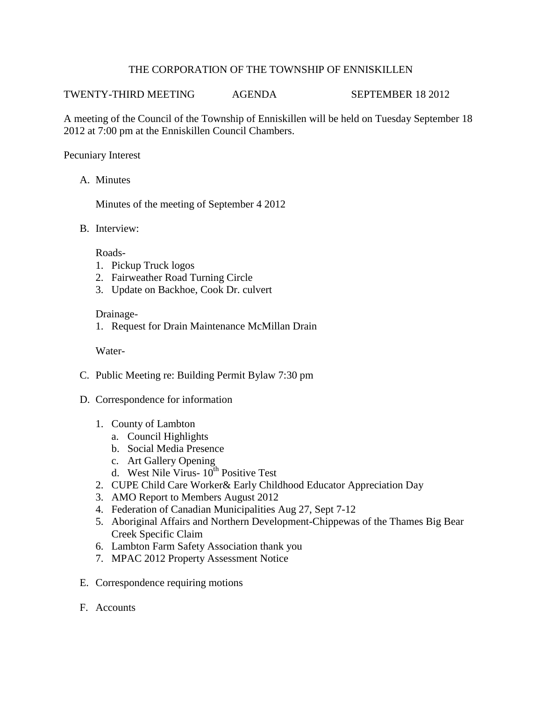## THE CORPORATION OF THE TOWNSHIP OF ENNISKILLEN

TWENTY-THIRD MEETING AGENDA SEPTEMBER 18 2012

A meeting of the Council of the Township of Enniskillen will be held on Tuesday September 18 2012 at 7:00 pm at the Enniskillen Council Chambers.

## Pecuniary Interest

A. Minutes

Minutes of the meeting of September 4 2012

B. Interview:

Roads-

- 1. Pickup Truck logos
- 2. Fairweather Road Turning Circle
- 3. Update on Backhoe, Cook Dr. culvert

#### Drainage-

1. Request for Drain Maintenance McMillan Drain

Water-

- C. Public Meeting re: Building Permit Bylaw 7:30 pm
- D. Correspondence for information
	- 1. County of Lambton
		- a. Council Highlights
		- b. Social Media Presence
		- c. Art Gallery Opening
		- d. West Nile Virus- 10th Positive Test
	- 2. CUPE Child Care Worker& Early Childhood Educator Appreciation Day
	- 3. AMO Report to Members August 2012
	- 4. Federation of Canadian Municipalities Aug 27, Sept 7-12
	- 5. Aboriginal Affairs and Northern Development-Chippewas of the Thames Big Bear Creek Specific Claim
	- 6. Lambton Farm Safety Association thank you
	- 7. MPAC 2012 Property Assessment Notice
- E. Correspondence requiring motions
- F. Accounts